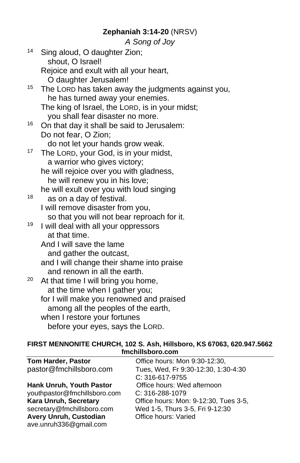## **Zephaniah 3:14-20** (NRSV)

*A Song of Joy*

| The LORD has taken away the judgments against you, |
|----------------------------------------------------|
|                                                    |
| The king of Israel, the LORD, is in your midst;    |
|                                                    |
|                                                    |
|                                                    |
|                                                    |
|                                                    |
|                                                    |
|                                                    |
|                                                    |
|                                                    |
|                                                    |
|                                                    |
|                                                    |
|                                                    |
|                                                    |
|                                                    |
|                                                    |
|                                                    |
|                                                    |
|                                                    |
|                                                    |
|                                                    |
|                                                    |
|                                                    |
|                                                    |
|                                                    |

#### **FIRST MENNONITE CHURCH, 102 S. Ash, Hillsboro, KS 67063, 620.947.5662 fmchillsboro.com**

| <b>Tom Harder, Pastor</b>       | Office hours: Mon 9:30-12:30,         |
|---------------------------------|---------------------------------------|
| pastor@fmchillsboro.com         | Tues, Wed, Fr 9:30-12:30, 1:30-4:30   |
|                                 | C: 316-617-9755                       |
| <b>Hank Unruh, Youth Pastor</b> | Office hours: Wed afternoon           |
| youthpastor@fmchillsboro.com    | C: 316-288-1079                       |
| <b>Kara Unruh, Secretary</b>    | Office hours: Mon: 9-12:30, Tues 3-5, |
| secretary@fmchillsboro.com      | Wed 1-5, Thurs 3-5, Fri 9-12:30       |
| Avery Unruh, Custodian          | Office hours: Varied                  |
| ave.unruh336@gmail.com          |                                       |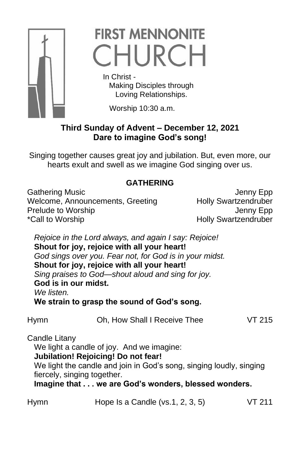

# **FIRST MENNONITE** CHURCH

 In Christ - Making Disciples through Loving Relationships.

Worship 10:30 a.m.

# **Third Sunday of Advent – December 12, 2021 Dare to imagine God's song!**

Singing together causes great joy and jubilation. But, even more, our hearts exult and swell as we imagine God singing over us.

# **GATHERING**

Gathering Music **Gathering Music** Jenny Epp Welcome, Announcements, Greeting Holly Swartzendruber Prelude to Worship **Internal Contract Contract Contract Contract Contract Contract Contract Contract Contract Contract Contract Contract Contract Contract Contract Contract Contract Contract Contract Contract Contract Cont** \*Call to Worship **Example 2018** Holly Swartzendruber

*Rejoice in the Lord always, and again I say: Rejoice!* **Shout for joy, rejoice with all your heart!** *God sings over you. Fear not, for God is in your midst.* **Shout for joy, rejoice with all your heart!** *Sing praises to God—shout aloud and sing for joy.* **God is in our midst.** *We listen.* **We strain to grasp the sound of God's song.**

Hymn Oh, How Shall I Receive Thee VT 215

Candle Litany

We light a candle of joy. And we imagine:

**Jubilation! Rejoicing! Do not fear!**

We light the candle and join in God's song, singing loudly, singing fiercely, singing together.

**Imagine that . . . we are God's wonders, blessed wonders.**

| Hymn | Hope Is a Candle ( $vs.1, 2, 3, 5$ ) | <b>VT 211</b> |
|------|--------------------------------------|---------------|
|      |                                      |               |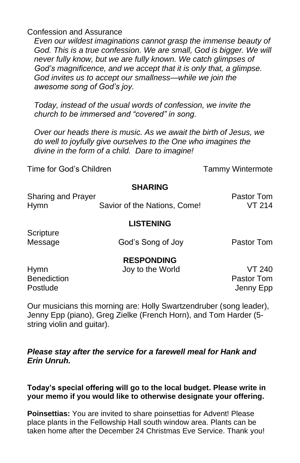Confession and Assurance

*Even our wildest imaginations cannot grasp the immense beauty of*  God. This is a true confession. We are small, God is bigger. We will *never fully know, but we are fully known. We catch glimpses of God's magnificence, and we accept that it is only that, a glimpse. God invites us to accept our smallness—while we join the awesome song of God's joy.*

*Today, instead of the usual words of confession, we invite the church to be immersed and "covered" in song.*

*Over our heads there is music. As we await the birth of Jesus, we do well to joyfully give ourselves to the One who imagines the divine in the form of a child. Dare to imagine!*

Time for God's Children The Children Tammy Wintermote

#### **SHARING**

| Sharing and Prayer |                              | Pastor Tom |
|--------------------|------------------------------|------------|
| <b>Hymn</b>        | Savior of the Nations, Come! | VT 214     |

#### **LISTENING**

**Scripture** 

Message God's Song of Joy Pastor Tom

### **RESPONDING**

Hymn Joy to the World VT 240 **Benediction Pastor Tom** 

Postlude Jenny Epp

Our musicians this morning are: Holly Swartzendruber (song leader), Jenny Epp (piano), Greg Zielke (French Horn), and Tom Harder (5 string violin and guitar).

### *Please stay after the service for a farewell meal for Hank and Erin Unruh.*

### **Today's special offering will go to the local budget. Please write in your memo if you would like to otherwise designate your offering.**

**Poinsettias:** You are invited to share poinsettias for Advent! Please place plants in the Fellowship Hall south window area. Plants can be taken home after the December 24 Christmas Eve Service. Thank you!